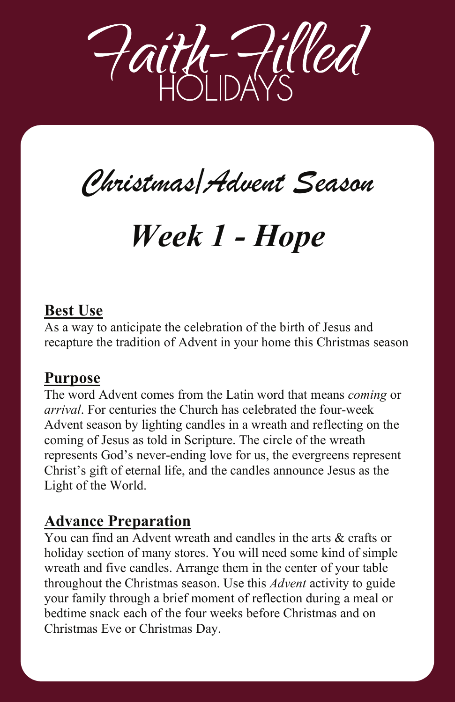

# *Christmas/Advent Season Christmas/Advent Season*

# *Week 1 - Hope Week 1 - Hope*

#### **Best Use**

As a way to anticipate the celebration of the birth of Jesus and recapture the tradition of Advent in your home this Christmas season

As a way to anticipate the celebration of the birth of Jesus and

The word Advent comes from the Latin word that means *coming* or

#### **Purpose**

The word Advent comes from the Latin word that means *coming* or *arrival*. For centuries the Church has celebrated the four-week Advent season by lighting candles in a wreath and reflecting on the coming of Jesus as told in Scripture. The circle of the wreath represents God's never-ending love for us, the evergreens represent Christ's gift of eternal life, and the candles announce Jesus as the Light of the World.

#### **Advance Preparation**  $\alpha$  ation and candles in the arts  $\alpha$

You can find an Advent wreath and candles in the arts  $\&$  crafts or holiday section of many stores. You will need some kind of simple wreath and five candles. Arrange them in the center of your table throughout the Christmas season. Use this *Advent* activity to guide your family through a brief moment of reflection during a meal or bedtime snack each of the four weeks before Christmas and on Christmas Eve or Christmas Day.